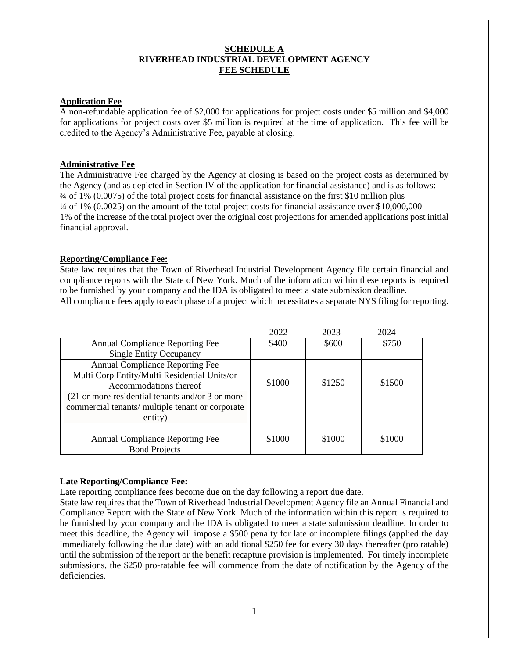# **SCHEDULE A RIVERHEAD INDUSTRIAL DEVELOPMENT AGENCY FEE SCHEDULE**

# **Application Fee**

A non-refundable application fee of \$2,000 for applications for project costs under \$5 million and \$4,000 for applications for project costs over \$5 million is required at the time of application. This fee will be credited to the Agency's Administrative Fee, payable at closing.

# **Administrative Fee**

The Administrative Fee charged by the Agency at closing is based on the project costs as determined by the Agency (and as depicted in Section IV of the application for financial assistance) and is as follows: ¾ of 1% (0.0075) of the total project costs for financial assistance on the first \$10 million plus ¼ of 1% (0.0025) on the amount of the total project costs for financial assistance over \$10,000,000 1% of the increase of the total project over the original cost projections for amended applications post initial financial approval.

# **Reporting/Compliance Fee:**

State law requires that the Town of Riverhead Industrial Development Agency file certain financial and compliance reports with the State of New York. Much of the information within these reports is required to be furnished by your company and the IDA is obligated to meet a state submission deadline.

| All compliance fees apply to each phase of a project which necessitates a separate NYS filing for reporting. |  |  |
|--------------------------------------------------------------------------------------------------------------|--|--|
|--------------------------------------------------------------------------------------------------------------|--|--|

|                                                                                                                                                                                                                                     | 2022   | 2023   | 2024   |
|-------------------------------------------------------------------------------------------------------------------------------------------------------------------------------------------------------------------------------------|--------|--------|--------|
| <b>Annual Compliance Reporting Fee</b>                                                                                                                                                                                              | \$400  | \$600  | \$750  |
| <b>Single Entity Occupancy</b>                                                                                                                                                                                                      |        |        |        |
| <b>Annual Compliance Reporting Fee</b><br>Multi Corp Entity/Multi Residential Units/or<br>Accommodations thereof<br>(21 or more residential tenants and/or 3 or more<br>commercial tenants/ multiple tenant or corporate<br>entity) | \$1000 | \$1250 | \$1500 |
| Annual Compliance Reporting Fee                                                                                                                                                                                                     | \$1000 | \$1000 | \$1000 |
| <b>Bond Projects</b>                                                                                                                                                                                                                |        |        |        |

# **Late Reporting/Compliance Fee:**

Late reporting compliance fees become due on the day following a report due date.

State law requires that the Town of Riverhead Industrial Development Agency file an Annual Financial and Compliance Report with the State of New York. Much of the information within this report is required to be furnished by your company and the IDA is obligated to meet a state submission deadline. In order to meet this deadline, the Agency will impose a \$500 penalty for late or incomplete filings (applied the day immediately following the due date) with an additional \$250 fee for every 30 days thereafter (pro ratable) until the submission of the report or the benefit recapture provision is implemented. For timely incomplete submissions, the \$250 pro-ratable fee will commence from the date of notification by the Agency of the deficiencies.